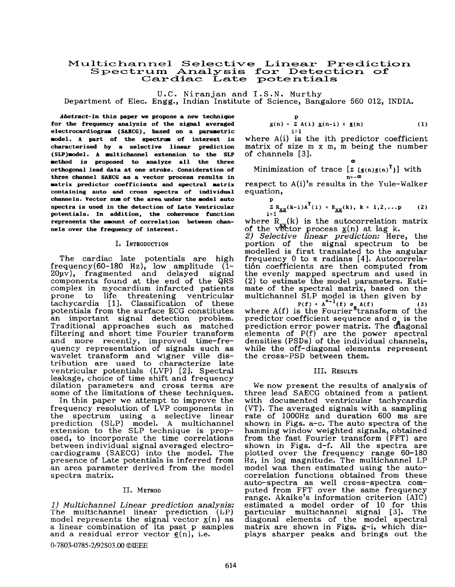# **Multichannel Selective Linear Prediction Spectrum Analysis for Detection of Cardiac Late potenk:ials**

U.C. Niranjan and **I.S.N.** Murthy

Department of Elec. Engg., Indian Institute of Science, Bangalore 560 **012,** INDIA.

**Abstract-In this paper we propose a new technique for the frequency analysis of the signal averaged electrocardiogram** *(SaBCC),* **based on a parametric model. A part of the spectrum of interest is characterised by a selective linear prediction (SLP)model. A multichannel extension to the SLP method is proposed to analyze all the three orthogonal lead data at one stroke. Consideration of three channel SAECC as a vector process results in matrix predictor coefficients and spectral matrix containing auto and cross spectra of individual channels. Vector sum of the area under the model auto spectra is used in the detection of Late Ventricular potentials. In addition, the coherence function represents the amount of correlation between channels over the frequency of interest.** 

### **I.** INTRODUCTION

The cardiac late potentials are high frequency(60-180 Hz), low amplitude **(1-**   $20\mu\overline{v}$ , fragmented and delayed signal components found at the end of the **QRS**  complex in myocardium infarcted patients to life threatening ventricular tachycardia [ **13.** Classification of these potentials from the surface ECG constitutes an important signal detection problem. Traditional approaches such as matched filtering and short time Fourier transform and more recently, improved time-frequency representation of signals such as wavelet transform and wigner ville distribution are used to characterize late ventricular potentials (LVP) [ **21.** Spectral leakage, choice of time shift and frequency dilation parameters and cross terms are some of the limitations of these techniques.

In this paper we attempt to improve the frequency resolution of LVP components in the spectrum using a selective linear prediction (SLP) model. A multichannel extension to the SLP technique is proposed, to incorporate the time correlations between individual signal averaged electrocardiograms (SAECG) into the model. The presence of Late potentials is inferred from an area parameter derived from the model spectra matrix.

## 11. METHOD

*1* ) *Multichannel Linear prediction analysis:*  model represents the signal vector  $\mathbf{x}(n)$  as The multichannel linear prediction a linear combination of its past p samples and a residual error vector  $\underline{\epsilon}(n)$ , i.e.

#### 0-7803-0785-2/92\$03.00 OIEEE

$$
\underline{\mathbf{y}}(n) = \sum_{i=1}^{p} A(i) \underline{\mathbf{y}}(n-i) + \underline{\mathbf{e}}(n)
$$
 (1)

**Q,** 

where  $A(i)$  is the ith predictor coefficient matrix of size  $m \times m$ ,  $m$  being the number of channels **[3].** 

Minimization of trace  $[\Sigma(\epsilon(n)\epsilon(n)^T)]$  with **n=-Ol** 

respect to A(i)'s results in the Yule-Walker equation,

$$
\sum_{i=1}^{p} R_{XX}(k-i)A^{T}(i) = R_{XX}(k), k = 1, 2, ...
$$
 (2)

where  $R_{n}(k)$  is the autocorrelation matrix of the vector process  $\underline{x}(n)$  at lag k.

2) *Selective linear prediction:* Here, the portion of the signal spectrum to be modelled is first translated to the angular frequency 0 to **n** radians **[4].** Autocorrelati6n coefficients are then computed from the evenly mapped spectrum and used in (2) to estimate the model parameters. Estimate of the spectral matrix, based on the mate of the spectral matrix, based on the<br>multichannel SLP model is then given by

where  $A(f)$  is the Fourier<sup>-t</sup>ransform of the predictor coefficient sequence and  $\sigma_{\epsilon}$  is the prediction error power matrix. The diagonal elements of  $P(f)$  are the power spectral densities (PSDs) of the individual channels, while the off-diagonal elements represent the cross-PSD between them.

#### 111. RESULTS

We now present the results of analysis of three lead SAECG obtained from a patient with documented ventricular tachycardia (VT). The averaged signals with a sampling rate of lOOOHz and duration 600 ms are shown in Figs. a-c. The auto spectra of the hamming window weighted signals, obtained from the fast Fourier transform (FFT) are shown in Figs. d-f. All the spectra are plotted over the frequency range **60-180**  Hz, in log magnitude. The multichannel LP model was then estimated using the autocorrelation functions obtained from these auto-spectra as well cross-spectra computed from FFT over the same frequency range. Akaike's information criterion (AIC) estimated a model order of 10 for this particular multichannel signal **[3].** The diagonal elements of the model spectral matrix are shown in Figs. g-i, which displays sharper peaks and brings out the